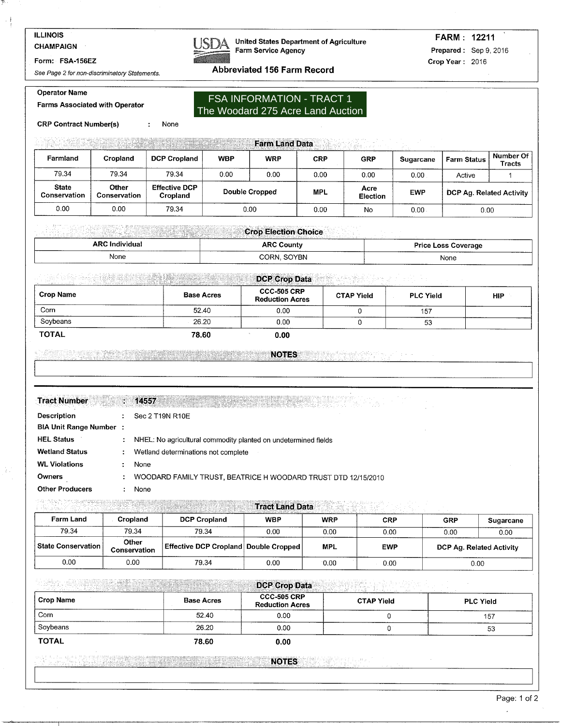**CHAMPAIGN** 

### Form: FSA-156EZ

**Operator Name** 

See Page 2 for non-discriminatory Statements.



**United States Department of Agriculture** Farm Service Agency

# **FARM: 12211** Prepared: Sep 9, 2016 Crop Year: 2016

Abbreviated 156 Farm Record

# **Farms Associated with Operator**

None

## **FSA INFORMATION - TRACT 1** The Woodard 275 Acre Land Auction

**CRP Contract Number(s)**  $\cdot$ 

# **Earm Land Data** Property of the Contract of Land Data Property of the Contract of the Contract of the Contract of T

| Farmland                     | Cropland              | <b>DCP Cropland</b>              | <b>WBP</b> | <b>WRP</b>     | <b>CRP</b> | <b>GRP</b>       | <b>Sugarcane</b> | <b>Farm Status</b>       | Number Of<br><b>Tracts</b> |
|------------------------------|-----------------------|----------------------------------|------------|----------------|------------|------------------|------------------|--------------------------|----------------------------|
| 79.34                        | 79.34                 | 79.34                            | 0.00       | 0.00           | 0.00       | 0.00             | $0.00\,$         | Active                   |                            |
| <b>State</b><br>Conservation | Other<br>Conservation | <b>Effective DCP</b><br>Cropland |            | Double Cropped | <b>MPL</b> | Acre<br>Election | <b>EWP</b>       | DCP Ag. Related Activity |                            |
| 0.00                         | 0.00                  | 79.34                            |            | 0.00           | 0.00       | No               | $0.00$ .         | 0.00                     |                            |

## **Crop Election Choice Crops**

| <b>ARC Individual</b>        | <b>ARC County</b>       | <b>Price Loss Coverage</b> |
|------------------------------|-------------------------|----------------------------|
| None<br>-------<br>_________ | _____<br>SOYBN<br>CORN. | ___________<br>None        |

#### **不是的 医骨髓硬化 医 Example 2008 DCP Crop Data** Property 2008 and 2009 Data

| <b>Crop Name</b> | <b>Base Acres</b> | <b>CCC-505 CRP</b><br><b>Reduction Acres</b> | <b>CTAP Yield</b> | <b>PLC Yield</b> | <b>HIP</b> |
|------------------|-------------------|----------------------------------------------|-------------------|------------------|------------|
| Corn             | 52.40             | 0.00                                         |                   | 157              |            |
| Sovbeans         | 26.20             | 0.00                                         |                   | 53               | ______     |
| <b>TOTAL</b>     | 78.60             | 0.00                                         |                   |                  |            |

#### <u> : Adamada Legunda (nombor) en la propia de la propia de la propia de la propia de la propia de la propia de</u> **THE RESERVE THE NOTES EXECUTIVE SERVER THE RESERVE THE RESERVE THE RESERVE THE RESERVE THE RESERVE**

|  |  |  | <b>Tract Number 1999</b> |  |
|--|--|--|--------------------------|--|
|  |  |  |                          |  |
|  |  |  |                          |  |
|  |  |  |                          |  |
|  |  |  |                          |  |
|  |  |  |                          |  |
|  |  |  |                          |  |
|  |  |  |                          |  |
|  |  |  |                          |  |

## :  $14557$  . The set of the set of the set of the set of the set of the set of the set of the set of the set of the set of the set of the set of the set of the set of the set of the set of the set of the set of the set of

| <b>Description</b>            |                | $\therefore$ Sec 2 T19N R10E                                   |
|-------------------------------|----------------|----------------------------------------------------------------|
| <b>BIA Unit Range Number:</b> |                |                                                                |
| <b>HEL Status</b>             | ÷.             | NHEL: No agricultural commodity planted on undetermined fields |
| <b>Wetland Status</b>         | ÷.             | Wetland determinations not complete                            |
| <b>WL Violations</b>          |                | None                                                           |
| <b>Owners</b>                 | $\mathbb{R}^n$ | WOODARD FAMILY TRUST, BEATRICE H WOODARD TRUST DTD 12/15/2010  |
| <b>Other Producers</b>        |                | None                                                           |

# **Excessive Contract Construction of the Construction of Tract Land Data**

| <b>Farm Land</b>   | <b>Cropland</b>              | <b>DCP Cropland</b>                            | <b>WBP</b> | <b>WRP</b> | CRP        | <b>GRP</b>               | Sugarcane |
|--------------------|------------------------------|------------------------------------------------|------------|------------|------------|--------------------------|-----------|
| 79.34              | 79.34                        | 79.34                                          | 0.00       | 0.00       | 0.00       | 0.00                     | 0.00      |
| State Conservation | Other<br><b>Conservation</b> | <b>Effective DCP Cropland Double Cropped  </b> |            | <b>MPL</b> | <b>EWP</b> | DCP Ag. Related Activity |           |
| 0.00               | 0.00                         | 79.34                                          | 0.00       | 0.00       | 0.00       |                          | 0.00      |

#### **Richard State** gine and a strong and the **DCP Crop Data** and the contract of the contract of the contract of the contract of the contract of the contract of the contract of the contract of the contract of the contract of the contract of the contract of the contra

| <b>Crop Name</b> | <b>Base Acres</b> | <b>CCC-505 CRP</b><br><b>Reduction Acres</b> | the contract of the contract of the contract of the contract of the contract of the contract of the contract of<br><b>CTAP Yield</b> | <b>PLC Yield</b> |
|------------------|-------------------|----------------------------------------------|--------------------------------------------------------------------------------------------------------------------------------------|------------------|
| Corn             | 52.40             | 0.00                                         |                                                                                                                                      | 157              |
| Soybeans         | 26.20             | 0.00                                         |                                                                                                                                      | 53               |
| <b>TOTAL</b>     | 78.60             | 0.00                                         |                                                                                                                                      |                  |

#### NOTES AND RESIDENCE IN THE RESIDENCE OF REAL PROPERTY. <u> 1999 - Jan Jan Jan</u>

 $\overline{a}$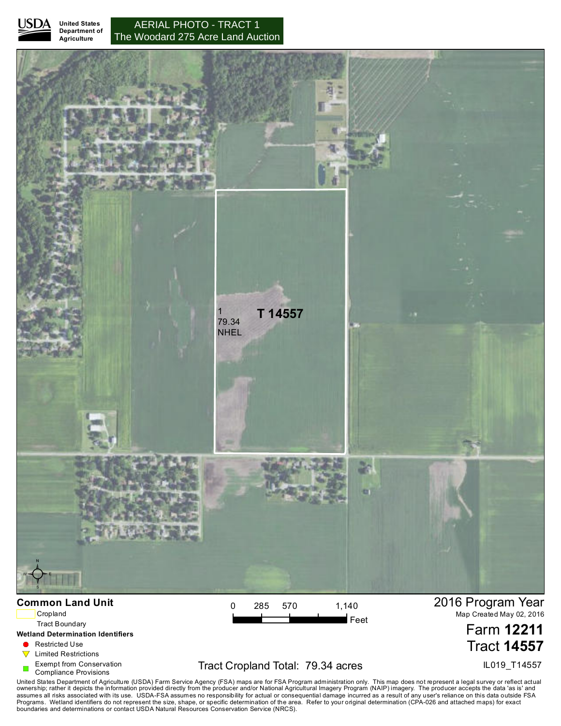

**Agriculture**

**United States Department of** The Woodard 275 Acre Land Auction AERIAL PHOTO - TRACT 1



Cropland

Tract Boundary

**Wetland Determination Identifiers**

 $\blacksquare$  Restricted Use

 $\nabla$  Limited Restrictions

Exempt from Conservation

Compliance Provisions

# Tract Cropland Total: 79.34 acres

 $\mathsf{I}\mathsf{F}$ eet

2016 Program Year Map Created May 02, 2016

> Farm **12211** Tract **14557**

> > IL019\_T14557

United States Department of Agriculture (USDA) Farm Service Agency (FSA) maps are for FSA Program administration only. This map does not represent a legal survey or reflect actual<br>ownership; rather it depicts the informati boundaries and determinations or contact USDA Natural Resources Conservation Service (NRCS).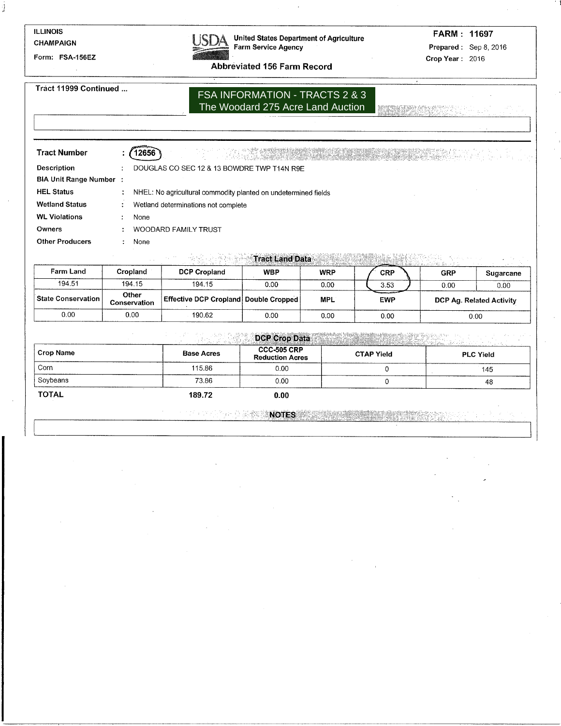## **ILLINOIS** CHAMPAIGN

ÿ.

Form: FSA-156EZ



**United States Department of Agriculture** Farm Service Agency

FARM: 11697 Prepared: Sep 8, 2016 Crop Year: 2016

**Abbreviated 156 Farm Record** 

Tract 11999 Continued ...

# FSA INFORMATION - TRACTS 2 & 3 The Woodard 275 Acre Land Auction

**RECEIVED AT LANDS** 

| <b>Tract Number</b>           |                                                                |
|-------------------------------|----------------------------------------------------------------|
| <b>Description</b>            | DOUGLAS CO SEC 12 & 13 BOWDRE TWP T14N R9E                     |
| <b>BIA Unit Range Number:</b> |                                                                |
| <b>HEL Status</b>             | NHEL: No agricultural commodity planted on undetermined fields |
| <b>Wetland Status</b>         | Wetland determinations not complete                            |
| <b>WL Violations</b>          | None                                                           |
| Owners                        | <b>WOODARD FAMILY TRUST</b>                                    |
| <b>Other Producers</b>        | None                                                           |
|                               |                                                                |

**Excessive Contract Land Data** MAIS CONTRACTOR  $\sim 10^{-10}$ 

| <b>Farm Land</b>   | Cropland                     | <b>DCP Cropland</b>                          | <b>WBP</b> | <b>WRP</b> | CRP        | GRP                      | <b>Sugarcane</b> |
|--------------------|------------------------------|----------------------------------------------|------------|------------|------------|--------------------------|------------------|
| 194.51             | 194.15                       | 194.15                                       | 0.00       | 0.00       | 3.53       | 0.00                     | 0.00             |
| State Conservation | Other<br><b>Conservation</b> | <b>Effective DCP Cropland Double Cropped</b> |            | <b>MPL</b> | <b>EWP</b> | DCP Ag. Related Activity |                  |
| 0.00               | 0.00                         | 190.62                                       | 0.00       | 0.00       | 0.00       |                          | 0.00             |

|              |                   | <b>DCP Crop Data</b><br>rengga matu 23 tre<br><u> Termanista e especialista e d</u> |                   |                  |  |  |  |  |  |  |
|--------------|-------------------|-------------------------------------------------------------------------------------|-------------------|------------------|--|--|--|--|--|--|
| Crop Name    | <b>Base Acres</b> | <b>CCC-505 CRP</b><br><b>Reduction Acres</b>                                        | <b>CTAP Yield</b> | <b>PLC Yield</b> |  |  |  |  |  |  |
| Corn         | 115.86            | 0.00                                                                                |                   | 145              |  |  |  |  |  |  |
| Soybeans     | 73.86             | 0.00                                                                                |                   | 48               |  |  |  |  |  |  |
| <b>TOTAL</b> | 189.72            | 0.00                                                                                |                   |                  |  |  |  |  |  |  |

**The company's Notes** (1999) **And the company of the company**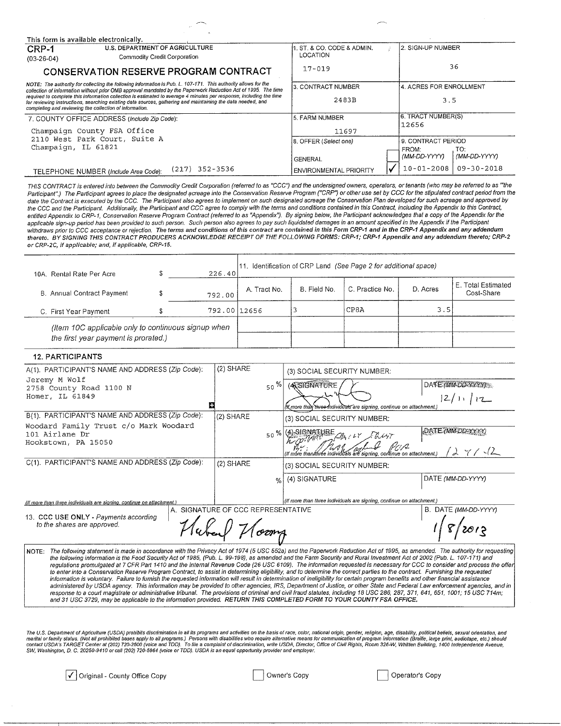| This form is available electronically.                                                                                                                                                                                                                                                        |                              |                  |                               |                         |                     |
|-----------------------------------------------------------------------------------------------------------------------------------------------------------------------------------------------------------------------------------------------------------------------------------------------|------------------------------|------------------|-------------------------------|-------------------------|---------------------|
| <b>U.S. DEPARTMENT OF AGRICULTURE</b><br>CRP-1                                                                                                                                                                                                                                                |                              |                  | . ST. & CO. CODE & ADMIN.     | 2. SIGN-UP NUMBER       |                     |
| $(03-26-04)$                                                                                                                                                                                                                                                                                  | Commodity Credit Corporation |                  | LOCATION                      |                         |                     |
| CONSERVATION RESERVE PROGRAM CONTRACT                                                                                                                                                                                                                                                         |                              |                  | $17 - 019$                    |                         | 36                  |
| NOTE: The authority for collecting the following information is Pub. L. 107-171. This authority allows for the<br>collection of information without prior OMB approval mandated by the Paperwork Reduction Act of 1995. The time                                                              |                              |                  | l3. CONTRACT NUMBER           | 4. ACRES FOR ENROLLMENT |                     |
| required to complete this information collection is estimated to average 4 minutes per response, including the time<br>for reviewing instructions, searching existing data sources, gathering and maintaining the data needed, and<br>completing and reviewing the collection of information. |                              |                  | 2483B                         | 3.5                     |                     |
| 7. COUNTY OFFICE ADDRESS (Include Zip Code):                                                                                                                                                                                                                                                  |                              |                  | 5. FARM NUMBER                | 6. TRACT NUMBER(S)      |                     |
| Champaign County FSA Office                                                                                                                                                                                                                                                                   |                              |                  | 11697                         | 12656                   |                     |
| 2110 West Park Court, Suite A                                                                                                                                                                                                                                                                 |                              |                  | 8. OFFER (Select one)         | 9. CONTRACT PERIOD      |                     |
| Champaign, IL 61821                                                                                                                                                                                                                                                                           |                              |                  | <b>GENERAL</b>                | FROM:<br>(MM-DD-YYYY)   | TO:<br>(MM-DD-YYYY) |
| TELEPHONE NUMBER (Include Area Code):                                                                                                                                                                                                                                                         |                              | $(217)$ 352-3536 | <b>ENVIRONMENTAL PRIORITY</b> | $10 - 01 - 2008$        | 09-30-2018          |

THIS CONTRACT is entered into between the Commodity Credit Corporation (referred to as "CCC") and the undersigned owners, operators, or tenants (who may be referred to as ""the Participant".) The Participant agrees to place the designated acreage into the Conservation Reserve Program ("CRP") or other use set by CCC for the stipulated contract period from the date the Contract is executed by the CCC. The Participant also agrees to implement on such designated acreage the Conservation Plan developed for such acreage and approved by the CCC and the Participant. Additionally, the Participant and CCC agree to comply with the terms and conditions contained in this Contract, including the Appendix to this Contract, entitled Appendix to this Contract, enti applicable sign-up period has been provided to such person. Such person also agrees to pay such liquidated damages in an amount specified in the Appendix if the Participant withdraws prior to CCC acceptance or rejection. The terms and conditions of this contract are contained in this Form CRP-1 and in the CRP-1 Appendix and any addendum thereto. BY SIGNING THIS CONTRACT PRODUCERS ACKNOWLEDGE RECEIPT OF THE FOLLOWING FORMS: CRP-1; CRP-1 Appendix and any addendum thereto; CRP-2 or CRP-2C, if applicable; and, if applicable, CRP-15.

| 10A. Rental Rate Per Acre                                                                   | 226.40       |              |              | 11. Identification of CRP Land (See Page 2 for additional space) |          |                                  |
|---------------------------------------------------------------------------------------------|--------------|--------------|--------------|------------------------------------------------------------------|----------|----------------------------------|
| B. Annual Contract Payment                                                                  | 792.00       | A. Tract No. | B. Field No. | C. Practice No.                                                  | D. Acres | E. Total Estimated<br>Cost-Share |
| C. First Year Payment                                                                       | 792.00 12656 |              |              | CP8A                                                             | 3.5      |                                  |
| (Item 10C applicable only to continuous signup when<br>the first year payment is prorated.) |              |              |              |                                                                  |          |                                  |

## **12. PARTICIPANTS**

| A(1). PARTICIPANT'S NAME AND ADDRESS (Zip Code):                                                                                                                                | (2) SHARE                          |               | (3) SOCIAL SECURITY NUMBER:                                           |                      |
|---------------------------------------------------------------------------------------------------------------------------------------------------------------------------------|------------------------------------|---------------|-----------------------------------------------------------------------|----------------------|
| Jeremy M Wolf<br>2758 County Road 1100 N                                                                                                                                        |                                    | $50\%$        | <b>ANSIGNATURE</b>                                                    | DATE (MM-DD-YYYYY)   |
| Homer, IL 61849                                                                                                                                                                 |                                    |               |                                                                       | 12/11112             |
|                                                                                                                                                                                 |                                    |               | (If more than three-individuals are signing, continue on attachment.) |                      |
| B(1). PARTICIPANT'S NAME AND ADDRESS (Zip Code):                                                                                                                                | (2) SHARE                          |               | (3) SOCIAL SECURITY NUMBER:                                           |                      |
| Woodard Family Trust c/o Mark Woodard<br>101 Airlane Dr                                                                                                                         |                                    | $50 \%$       | l (4)-SIGNATURE<br>FARILY FRUST                                       | DATE (MM-DD-YYYY)    |
| Hookstown, PA 15050                                                                                                                                                             |                                    |               | (If more than/thrée individuals aré signing, continue on attachment.) | 4/12                 |
| C(1). PARTICIPANT'S NAME AND ADDRESS (Zip Code):                                                                                                                                | $(2)$ SHARE                        |               | (3) SOCIAL SECURITY NUMBER:                                           |                      |
|                                                                                                                                                                                 |                                    | $\frac{0}{2}$ | (4) SIGNATURE                                                         | DATE (MM-DD-YYYY)    |
| (If more than three individuals are signing, continue on attachment.)                                                                                                           |                                    |               | (If more than three individuals are signing, continue on attachment.) |                      |
|                                                                                                                                                                                 | A. SIGNATURE OF CCC REPRESENTATIVE |               |                                                                       | B. DATE (MM-DD-YYYY) |
| 13. CCC USE ONLY - Payments according<br>to the shares are approved.                                                                                                            |                                    |               |                                                                       |                      |
| NOTE: The following statement is made in accordance with the Privacy Act of 1974 (5 USC 552a) and the Paperwork Reduction Act of 1995, as amended. The authority for requesting |                                    |               |                                                                       |                      |

the following information is the Food Security Act of 1985, (Pub. L. 99-198), as amended and the Farm Security and Rural Investment Act of 2002 (Pub. L. 107-171) and<br>regulations promulgated at 7 CFR Part 1410 and the Inter to enter into a Conservation Reserve Program Contract, to assist in determining eligibility, and to determine the correct parties to the contract. Furnishing the requested information is voluntary. Failure to furnish the requested information will result in determination of ineligibility for certain program benefits and other financial assistance administered by USDA agency. This information may be provided to other agencies, IRS, Department of Justice, or other State and Federal Law enforcement agencies, and in response to a court magistrate or administrative tribunal. The provisions of criminal and civil fraud statutes, including 18 USC 286, 287, 371, 641, 651, 1001; 15 USC 714m;<br>and 31 USC 3729, may be applicable to the informa

The U.S. Department of Agriculture (USDA) prohibits discrimination in all its programs and activities on the basis of race, color, national origin, gender, religion, age, disability, political beliefs, sexual orientation,

√ Original - County Office Copy

Owner's Copy

Operator's Copy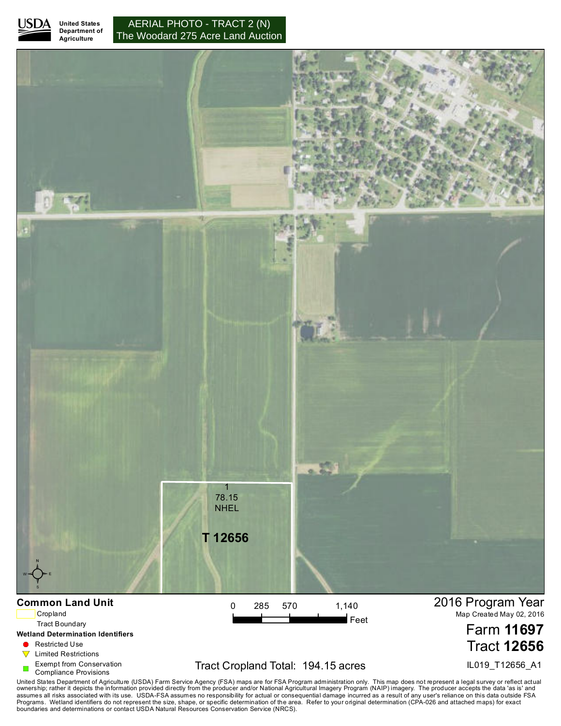

**Agriculture**

**United States Department of The Woodard 275 Acre Land Auction** AERIAL PHOTO - TRACT 2 (N)



# Exempt from Conservation

Compliance Provisions

# Tract Cropland Total: 194.15 acres

IL019\_T12656\_A1

United States Department of Agriculture (USDA) Farm Service Agency (FSA) maps are for FSA Program administration only. This map does not represent a legal survey or reflect actual<br>ownership; rather it depicts the informati boundaries and determinations or contact USDA Natural Resources Conservation Service (NRCS).